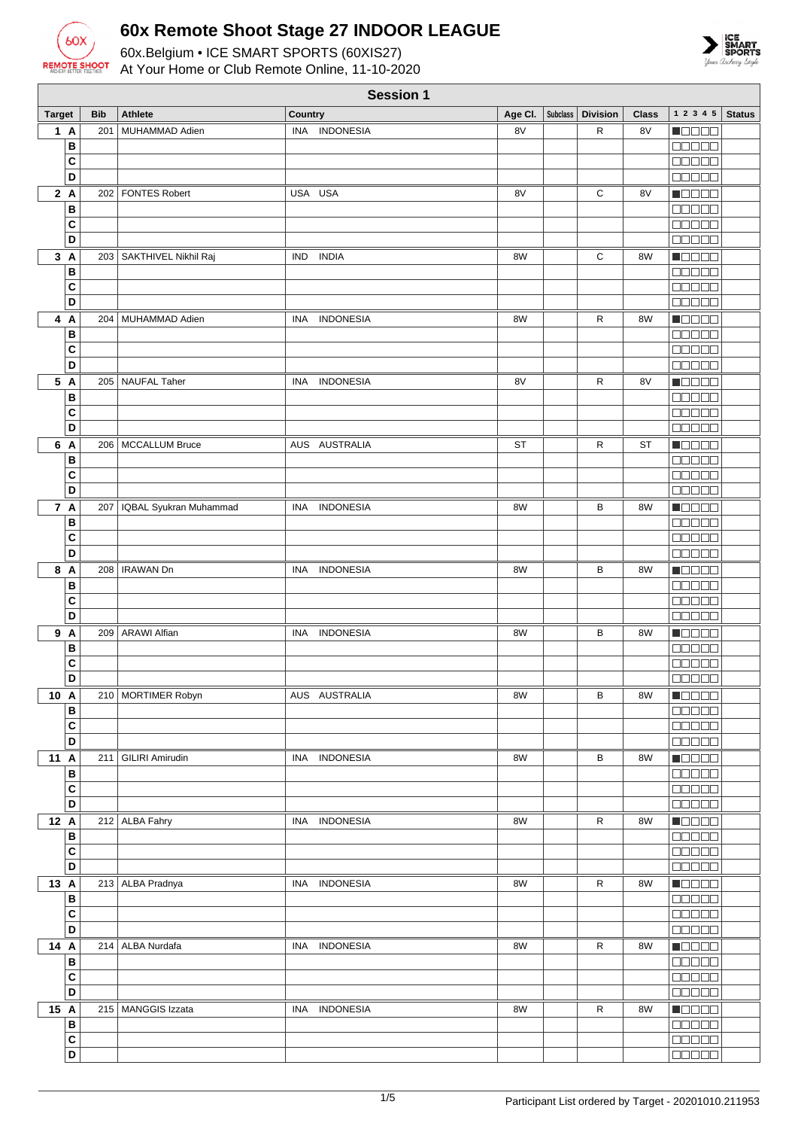



|                | <b>Session 1</b> |                            |                                |                     |                 |              |                                               |
|----------------|------------------|----------------------------|--------------------------------|---------------------|-----------------|--------------|-----------------------------------------------|
| <b>Target</b>  | <b>Bib</b>       | <b>Athlete</b>             | Country                        | Subclass<br>Age CI. | <b>Division</b> | <b>Class</b> | $1\ 2\ 3\ 4\ 5$<br><b>Status</b>              |
| 1A             | 201              | MUHAMMAD Adien             | INA INDONESIA                  | 8V                  | R               | 8V           | N OO OO                                       |
| B              |                  |                            |                                |                     |                 |              | 00000                                         |
| C              |                  |                            |                                |                     |                 |              | <b>00000</b>                                  |
| D              |                  |                            |                                |                     |                 |              | 00000                                         |
| 2A             |                  | 202   FONTES Robert        | USA USA                        | 8V                  | С               | 8V           | n do da                                       |
| B<br>C         |                  |                            |                                |                     |                 |              | $\Box$ $\Box$ $\Box$ $\Box$<br>00000          |
| D              |                  |                            |                                |                     |                 |              | <b>00000</b>                                  |
| 3A             |                  | 203   SAKTHIVEL Nikhil Raj | <b>IND</b><br><b>INDIA</b>     | 8W                  | $\mathsf C$     | 8W           | Maaaa                                         |
| B              |                  |                            |                                |                     |                 |              | <b>BEBEE</b>                                  |
| C              |                  |                            |                                |                     |                 |              | 00000                                         |
| D              |                  |                            |                                |                     |                 |              | <b>BBBBB</b>                                  |
| 4 A            |                  | 204   MUHAMMAD Adien       | <b>INDONESIA</b><br>INA        | 8W                  | R               | 8W           | <u> Nacio</u>                                 |
| B              |                  |                            |                                |                     |                 |              | <b>BEBEE</b>                                  |
| C              |                  |                            |                                |                     |                 |              | 88888                                         |
| $\overline{D}$ |                  |                            |                                |                     |                 |              | <b>00000</b>                                  |
| 5 A            |                  | 205 NAUFAL Taher           | <b>INDONESIA</b><br>INA        | 8V                  | R               | 8V           | $\blacksquare$                                |
| B<br>C         |                  |                            |                                |                     |                 |              | 00000                                         |
| D              |                  |                            |                                |                     |                 |              | <b>00000</b><br>00000                         |
| 6 A            |                  | 206   MCCALLUM Bruce       | AUS AUSTRALIA                  | ST                  | R               | <b>ST</b>    | <b>REGEE</b>                                  |
| B              |                  |                            |                                |                     |                 |              | 00000                                         |
| C              |                  |                            |                                |                     |                 |              | <b>00000</b>                                  |
| D              |                  |                            |                                |                     |                 |              | <b>BEEBE</b>                                  |
| 7 A            | 207              | IQBAL Syukran Muhammad     | <b>INDONESIA</b><br>INA.       | 8W                  | в               | 8W           | <b>Reces</b>                                  |
| В              |                  |                            |                                |                     |                 |              | 00000                                         |
| C              |                  |                            |                                |                     |                 |              | 00000                                         |
| D              |                  |                            |                                |                     |                 |              | <u> E E E E E</u>                             |
| 8 A            |                  | 208   IRAWAN Dn            | <b>INDONESIA</b><br><b>INA</b> | 8W                  | В               | 8W           | Maaala                                        |
| В              |                  |                            |                                |                     |                 |              | <b>BEBEE</b>                                  |
| C<br>D         |                  |                            |                                |                     |                 |              | <b>BBBBB</b><br>88888                         |
| 9 A            |                  | 209 ARAWI Alfian           | <b>INDONESIA</b><br>INA        | 8W                  | В               | 8W           | <b>Reces</b>                                  |
| В              |                  |                            |                                |                     |                 |              | an sa s                                       |
| C              |                  |                            |                                |                     |                 |              | <b>COOCO</b>                                  |
| D              |                  |                            |                                |                     |                 |              | <b>ODDOO</b>                                  |
| 10 A           |                  | 210 MORTIMER Robyn         | AUS AUSTRALIA                  | 8W                  | В               | 8W           | <b>NOOOO</b>                                  |
| B              |                  |                            |                                |                     |                 |              | 88888                                         |
| $\mathbf c$    |                  |                            |                                |                     |                 |              | <u>is se se</u>                               |
| D              |                  |                            |                                |                     |                 |              | 00000                                         |
| 11 A<br>B      |                  | 211   GILIRI Amirudin      | INA INDONESIA                  | 8W                  | В               | 8W           | <u> Eleca</u><br>$\Box \Box \Box \Box \Box$   |
| C              |                  |                            |                                |                     |                 |              | <b>COOCO</b>                                  |
| D              |                  |                            |                                |                     |                 |              | <b>BEBBE</b>                                  |
| 12 A           |                  | 212 ALBA Fahry             | INA INDONESIA                  | 8W                  | R               | 8W           | <b>RECOR</b>                                  |
| В              |                  |                            |                                |                     |                 |              | <b>BEBEE</b>                                  |
| $\mathbf c$    |                  |                            |                                |                     |                 |              | 00000                                         |
| D              |                  |                            |                                |                     |                 |              | 88888                                         |
| 13 A           |                  | 213 ALBA Pradnya           | INA INDONESIA                  | 8W                  | R               | 8W           | Maaaa                                         |
| B              |                  |                            |                                |                     |                 |              | $\Box$ $\Box$ $\Box$ $\Box$ $\Box$            |
| C              |                  |                            |                                |                     |                 |              | $\Box$ $\Box$ $\Box$ $\Box$ $\Box$            |
| D              |                  |                            |                                |                     |                 |              | $\Box$                                        |
| 14 A<br>В      |                  | 214   ALBA Nurdafa         | INA INDONESIA                  | 8W                  | R               | 8W           | $\blacksquare$<br>$\Box$ $\Box$ $\Box$ $\Box$ |
| C              |                  |                            |                                |                     |                 |              | aa aa                                         |
| D              |                  |                            |                                |                     |                 |              | $\Box$ $\Box$ $\Box$ $\Box$ $\Box$            |
| 15 A           |                  | 215   MANGGIS Izzata       | INA INDONESIA                  | 8W                  | R               | 8W           | <b>REGEE</b>                                  |
| B              |                  |                            |                                |                     |                 |              | 00000                                         |
| $\overline{c}$ |                  |                            |                                |                     |                 |              | <b>00000</b>                                  |
| D              |                  |                            |                                |                     |                 |              | 00000                                         |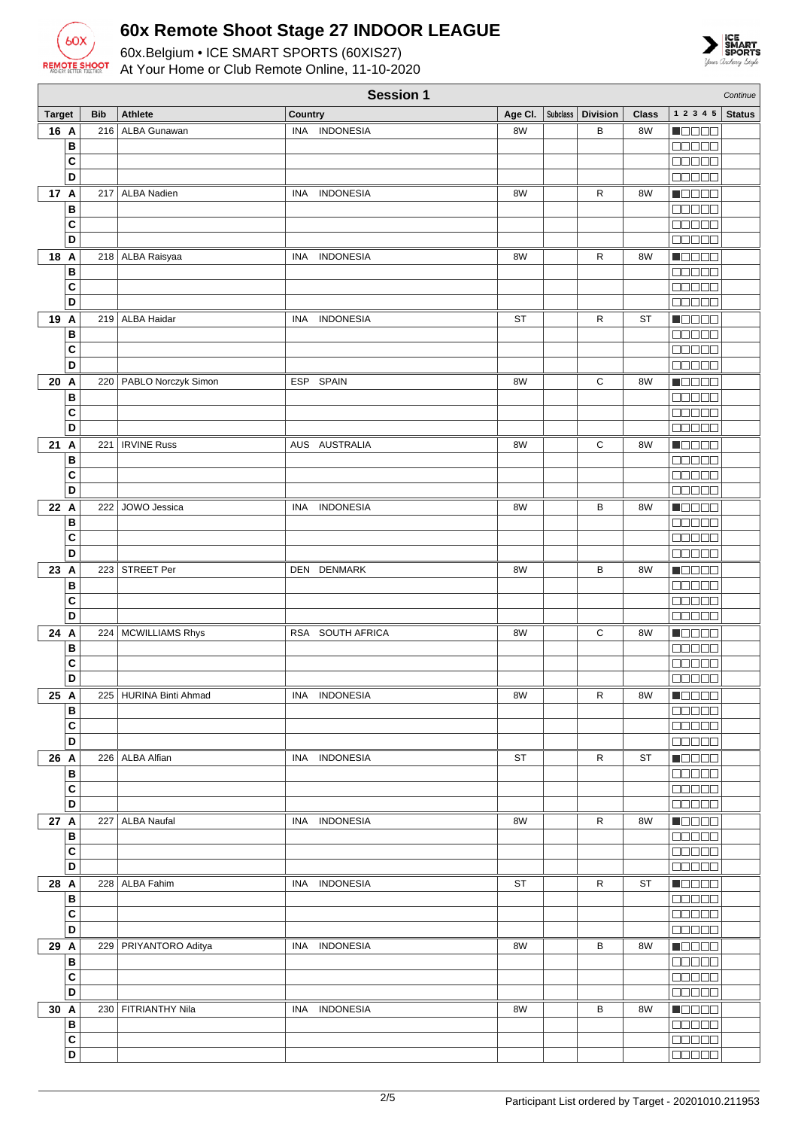



|               | <b>Session 1</b><br>Continue |            |                          |         |                  |           |          |                 |              |                                                             |               |
|---------------|------------------------------|------------|--------------------------|---------|------------------|-----------|----------|-----------------|--------------|-------------------------------------------------------------|---------------|
| <b>Target</b> |                              | <b>Bib</b> | <b>Athlete</b>           | Country |                  | Age Cl.   | Subclass | <b>Division</b> | <b>Class</b> | 1 2 3 4 5                                                   | <b>Status</b> |
| 16 A          |                              | 216        | ALBA Gunawan             |         | INA INDONESIA    | 8W        |          | В               | 8W           | <b>MODER</b>                                                |               |
|               | в                            |            |                          |         |                  |           |          |                 |              | <b>00000</b>                                                |               |
|               | $\mathbf{C}$                 |            |                          |         |                  |           |          |                 |              | <u>maaaa</u>                                                |               |
|               |                              |            |                          |         |                  |           |          |                 |              |                                                             |               |
|               | D                            |            |                          |         |                  |           |          |                 |              | 00000                                                       |               |
| 17 A          |                              | 217        | <b>ALBA Nadien</b>       | INA     | <b>INDONESIA</b> | 8W        |          | R               | 8W           | N OO O O                                                    |               |
|               | B                            |            |                          |         |                  |           |          |                 |              | 00000                                                       |               |
|               | C                            |            |                          |         |                  |           |          |                 |              | e se se s                                                   |               |
|               | D                            |            |                          |         |                  |           |          |                 |              | <b>00000</b>                                                |               |
| 18 A          |                              |            | 218 ALBA Raisyaa         | INA     | <b>INDONESIA</b> | 8W        |          | R               | 8W           | MOOO O                                                      |               |
|               | B                            |            |                          |         |                  |           |          |                 |              | 88888                                                       |               |
|               | $\mathbf{C}$                 |            |                          |         |                  |           |          |                 |              | 88888                                                       |               |
|               | D                            |            |                          |         |                  |           |          |                 |              | <b>00000</b>                                                |               |
|               |                              |            |                          |         |                  |           |          |                 |              |                                                             |               |
| 19 A          |                              |            | 219 ALBA Haidar          | INA     | <b>INDONESIA</b> | <b>ST</b> |          | R               | <b>ST</b>    | Maaaa                                                       |               |
|               | в                            |            |                          |         |                  |           |          |                 |              | ooooo                                                       |               |
|               | $\mathbf c$                  |            |                          |         |                  |           |          |                 |              | <b>BBBBB</b>                                                |               |
|               | D                            |            |                          |         |                  |           |          |                 |              | 88888                                                       |               |
| 20 A          |                              | 220        | PABLO Norczyk Simon      |         | ESP SPAIN        | 8W        |          | С               | 8W           | Maaaa                                                       |               |
|               | B                            |            |                          |         |                  |           |          |                 |              | 88888                                                       |               |
|               | $\mathbf{C}$                 |            |                          |         |                  |           |          |                 |              | <b>BOBBB</b>                                                |               |
|               | D                            |            |                          |         |                  |           |          |                 |              | 88888                                                       |               |
| 21 A          |                              | 221        | <b>IRVINE Russ</b>       |         | AUS AUSTRALIA    | 8W        |          | С               | 8W           | Maaaa                                                       |               |
|               | в                            |            |                          |         |                  |           |          |                 |              | an an a                                                     |               |
|               | $\mathbf{C}$                 |            |                          |         |                  |           |          |                 |              |                                                             |               |
|               |                              |            |                          |         |                  |           |          |                 |              | nnoan                                                       |               |
|               | D                            |            |                          |         |                  |           |          |                 |              | <b>BBBBB</b>                                                |               |
| 22 A          |                              | 222        | JOWO Jessica             | INA     | <b>INDONESIA</b> | 8W        |          | в               | 8W           | <b>M</b> OOOO                                               |               |
|               | B                            |            |                          |         |                  |           |          |                 |              | <b>00000</b>                                                |               |
|               | C                            |            |                          |         |                  |           |          |                 |              | a da da                                                     |               |
|               | D                            |            |                          |         |                  |           |          |                 |              | 88888                                                       |               |
| 23 A          |                              | 223        | STREET Per               |         | DEN DENMARK      | 8W        |          | B               | 8W           | MONDO                                                       |               |
|               | B                            |            |                          |         |                  |           |          |                 |              | <b>NOBED</b>                                                |               |
|               | C                            |            |                          |         |                  |           |          |                 |              | 00000                                                       |               |
|               | D                            |            |                          |         |                  |           |          |                 |              | 00000                                                       |               |
| 24 A          |                              |            | 224   MCWILLIAMS Rhys    |         | RSA SOUTH AFRICA | 8W        |          | С               | 8W           | <b>Maaaa</b>                                                |               |
|               | B                            |            |                          |         |                  |           |          |                 |              | 88888                                                       |               |
|               |                              |            |                          |         |                  |           |          |                 |              |                                                             |               |
|               | $\mathbf{C}$                 |            |                          |         |                  |           |          |                 |              | 88888                                                       |               |
|               | D                            |            |                          |         |                  |           |          |                 |              | 88888                                                       |               |
| $\sqrt{25}$ A |                              |            | 225   HURINA Binti Ahmad |         | INA INDONESIA    | 8W        |          | R               | 8W           | $\blacksquare$ $\square$ $\square$ $\blacksquare$           |               |
|               | B                            |            |                          |         |                  |           |          |                 |              | 00000                                                       |               |
|               | $\mathbf{C}$                 |            |                          |         |                  |           |          |                 |              | 00000                                                       |               |
|               | D                            |            |                          |         |                  |           |          |                 |              | <b>00000</b>                                                |               |
| 26 A          |                              |            | 226   ALBA Alfian        |         | INA INDONESIA    | ST        |          | R               | ST           | <b>Maaaa</b>                                                |               |
|               | B                            |            |                          |         |                  |           |          |                 |              | 88888                                                       |               |
|               | C                            |            |                          |         |                  |           |          |                 |              | <b>00000</b>                                                |               |
|               | D                            |            |                          |         |                  |           |          |                 |              | 00000                                                       |               |
| 27 A          |                              | 227        | <b>ALBA Naufal</b>       |         | INA INDONESIA    | 8W        |          | R               | 8W           | <b>Macao</b>                                                |               |
|               | B                            |            |                          |         |                  |           |          |                 |              | 00000                                                       |               |
|               | C                            |            |                          |         |                  |           |          |                 |              | 00000                                                       |               |
|               | D                            |            |                          |         |                  |           |          |                 |              | 00000                                                       |               |
|               |                              |            |                          |         |                  |           |          |                 |              |                                                             |               |
| 28 A          |                              |            | 228 ALBA Fahim           |         | INA INDONESIA    | ST        |          | $\mathsf{R}$    | <b>ST</b>    | <b>Nedee</b>                                                |               |
|               | B                            |            |                          |         |                  |           |          |                 |              | 00000                                                       |               |
|               | C                            |            |                          |         |                  |           |          |                 |              | 00000                                                       |               |
|               | D                            |            |                          |         |                  |           |          |                 |              | 00000                                                       |               |
| 29 A          |                              |            | 229   PRIYANTORO Aditya  |         | INA INDONESIA    | 8W        |          | В               | 8W           | <b>Receive</b>                                              |               |
|               | В                            |            |                          |         |                  |           |          |                 |              | 00000                                                       |               |
|               | $\mathbf{C}$                 |            |                          |         |                  |           |          |                 |              | 00000                                                       |               |
|               | D                            |            |                          |         |                  |           |          |                 |              | 00000                                                       |               |
| 30 A          |                              |            | 230   FITRIANTHY Nila    |         | INA INDONESIA    | 8W        |          | В               | 8W           | $\blacksquare$ $\blacksquare$ $\blacksquare$ $\blacksquare$ |               |
|               | B                            |            |                          |         |                  |           |          |                 |              | 00000                                                       |               |
|               | $\overline{\mathbf{c}}$      |            |                          |         |                  |           |          |                 |              | 00000                                                       |               |
|               | D                            |            |                          |         |                  |           |          |                 |              | <b>BBBBB</b>                                                |               |
|               |                              |            |                          |         |                  |           |          |                 |              |                                                             |               |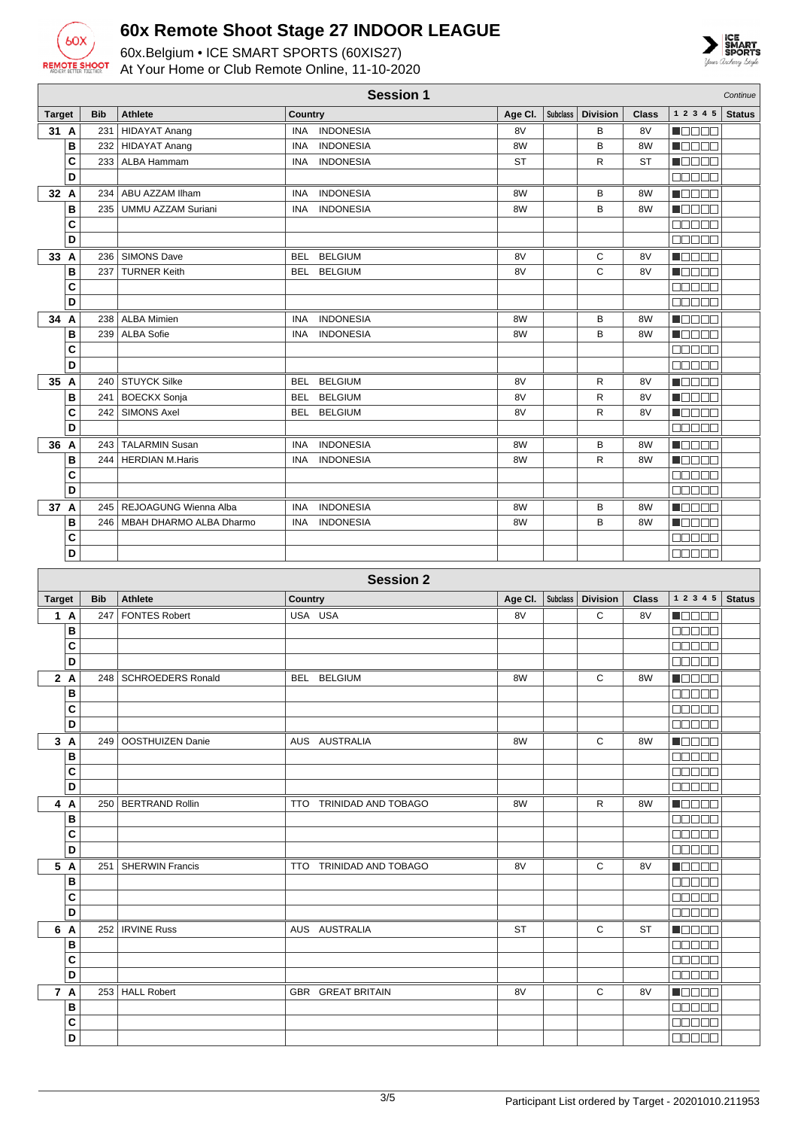



| <b>Target</b>     | <b>Bib</b> | <b>Athlete</b>              | Country    |                         | Age Cl.   | <b>Subclass</b> | <b>Division</b> | Class        | 1 2 3 4 5                                                   | <b>Status</b> |
|-------------------|------------|-----------------------------|------------|-------------------------|-----------|-----------------|-----------------|--------------|-------------------------------------------------------------|---------------|
| 31 A              | 231        | <b>HIDAYAT Anang</b>        | <b>INA</b> | <b>INDONESIA</b>        | 8V        |                 | B               | 8V           | N O D O O                                                   |               |
| B                 | 232        | HIDAYAT Anang               | <b>INA</b> | <b>INDONESIA</b>        | 8W        |                 | B               | 8W           | HOOOO                                                       |               |
| C                 |            | 233   ALBA Hammam           | INA        | <b>INDONESIA</b>        | <b>ST</b> |                 | R               | <b>ST</b>    | Maaaa                                                       |               |
| D                 |            |                             |            |                         |           |                 |                 |              | 88888                                                       |               |
|                   |            |                             |            |                         |           |                 |                 |              |                                                             |               |
| 32 A              | 234        | ABU AZZAM Ilham             | INA        | <b>INDONESIA</b>        | 8W        |                 | B               | 8W           | N O O O O                                                   |               |
| B                 | 235        | <b>UMMU AZZAM Suriani</b>   | INA        | <b>INDONESIA</b>        | 8W        |                 | B               | 8W           | <b>MODER</b>                                                |               |
| C                 |            |                             |            |                         |           |                 |                 |              | <b>REBEE</b>                                                |               |
| D                 |            |                             |            |                         |           |                 |                 |              | a a a a a                                                   |               |
| 33 A              | 236        | <b>SIMONS Dave</b>          | <b>BEL</b> | <b>BELGIUM</b>          | 8V        |                 | С               | 8V           | M O O O O                                                   |               |
| В                 | 237        | <b>TURNER Keith</b>         | BEL        | <b>BELGIUM</b>          | 8V        |                 | С               | 8V           | <b>Mana</b>                                                 |               |
| C                 |            |                             |            |                         |           |                 |                 |              | 88888                                                       |               |
| D                 |            |                             |            |                         |           |                 |                 |              | <b>00000</b>                                                |               |
| 34 A              | 238        | ALBA Mimien                 | INA        | <b>INDONESIA</b>        | 8W        |                 | В               | 8W           | MOOOO                                                       |               |
| B                 |            | 239   ALBA Sofie            | INA        | <b>INDONESIA</b>        | 8W        |                 | B               | 8W           | Maaaa                                                       |               |
| C                 |            |                             |            |                         |           |                 |                 |              | <b>MARGE</b>                                                |               |
| D                 |            |                             |            |                         |           |                 |                 |              | 00000                                                       |               |
|                   |            |                             |            |                         |           |                 |                 |              |                                                             |               |
| 35 A              | 240        | STUYCK Silke                | <b>BEL</b> | <b>BELGIUM</b>          | 8V        |                 | R               | 8V           | n de se                                                     |               |
| B                 | 241        | <b>BOECKX Sonja</b>         | <b>BEL</b> | <b>BELGIUM</b>          | 8V        |                 | R               | 8V           | Maaaa                                                       |               |
| C                 | 242        | <b>SIMONS Axel</b>          |            | BEL BELGIUM             | 8V        |                 | R               | 8V           | MOOO O                                                      |               |
| D                 |            |                             |            |                         |           |                 |                 |              | <b>MARGE</b>                                                |               |
| 36 A              | 243        | <b>TALARMIN Susan</b>       | INA        | <b>INDONESIA</b>        | 8W        |                 | в               | 8W           | n 880a                                                      |               |
| B                 | 244        | <b>HERDIAN M.Haris</b>      | INA        | <b>INDONESIA</b>        | 8W        |                 | R               | 8W           | n de de                                                     |               |
| C                 |            |                             |            |                         |           |                 |                 |              | 88888                                                       |               |
| D                 |            |                             |            |                         |           |                 |                 |              | <b>BOBBB</b>                                                |               |
| 37 A              |            | 245   REJOAGUNG Wienna Alba | <b>INA</b> | <b>INDONESIA</b>        | 8W        |                 | в               | 8W           | HOOOO                                                       |               |
| B                 | 246        | MBAH DHARMO ALBA Dharmo     | INA        | <b>INDONESIA</b>        | 8W        |                 | B               | 8W           | <b>Magaa</b>                                                |               |
| C                 |            |                             |            |                         |           |                 |                 |              | 00000                                                       |               |
| D                 |            |                             |            |                         |           |                 |                 |              | 88888                                                       |               |
|                   |            |                             |            |                         |           |                 |                 |              |                                                             |               |
|                   |            |                             |            | <b>Session 2</b>        |           |                 |                 |              |                                                             |               |
|                   |            |                             |            |                         |           |                 |                 |              |                                                             |               |
|                   |            |                             |            |                         |           |                 |                 |              |                                                             |               |
| <b>Target</b>     | <b>Bib</b> | <b>Athlete</b>              | Country    |                         | Age CI.   | <b>Subclass</b> | <b>Division</b> | <b>Class</b> | 1 2 3 4 5                                                   | <b>Status</b> |
| 1 A               | 247        | <b>FONTES Robert</b>        | USA USA    |                         | 8V        |                 | C               | 8V           | N OO O O                                                    |               |
| B                 |            |                             |            |                         |           |                 |                 |              | 88888                                                       |               |
| C                 |            |                             |            |                         |           |                 |                 |              | <b>BOBBB</b>                                                |               |
| D                 |            |                             |            |                         |           |                 |                 |              | aaaaa                                                       |               |
| 2 A               |            | 248   SCHROEDERS Ronald     |            | BEL BELGIUM             | 8W        |                 | С               | 8W           | <b>Magaa</b>                                                |               |
| $\overline{B}$    |            |                             |            |                         |           |                 |                 |              |                                                             |               |
| C                 |            |                             |            |                         |           |                 |                 |              | <b>BBBBB</b>                                                |               |
| D                 |            |                             |            |                         |           |                 |                 |              | 88888                                                       |               |
| 3A                |            | 249   OOSTHUIZEN Danie      |            | AUS AUSTRALIA           | 8W        |                 | C               | 8W           | Maaaa                                                       |               |
| $\, {\bf B}$      |            |                             |            |                         |           |                 |                 |              | <u>ooooo</u>                                                |               |
|                   |            |                             |            |                         |           |                 |                 |              | <b>00000</b>                                                |               |
| C                 |            |                             |            |                         |           |                 |                 |              |                                                             |               |
| D                 |            |                             |            |                         |           |                 |                 |              |                                                             |               |
| 4 A               |            | 250   BERTRAND Rollin       |            | TTO TRINIDAD AND TOBAGO | 8W        |                 | R               | 8W           | Maaaa                                                       |               |
| В                 |            |                             |            |                         |           |                 |                 |              | <b>BEBEE</b>                                                |               |
| C                 |            |                             |            |                         |           |                 |                 |              | 00000                                                       |               |
| D                 |            |                             |            |                         |           |                 |                 |              | 00000                                                       |               |
| 5 A               |            | 251   SHERWIN Francis       |            | TTO TRINIDAD AND TOBAGO | 8V        |                 | C               | 8V           | $\blacksquare$ $\blacksquare$ $\blacksquare$ $\blacksquare$ |               |
| $\, {\bf B}$      |            |                             |            |                         |           |                 |                 |              | <b>00000</b>                                                |               |
| C                 |            |                             |            |                         |           |                 |                 |              | 88888                                                       |               |
| D                 |            |                             |            |                         |           |                 |                 |              | 88888                                                       |               |
| 6 A               |            | 252   IRVINE Russ           |            | AUS AUSTRALIA           | ST        |                 | C               | ST           | <b>NODER</b>                                                |               |
| B                 |            |                             |            |                         |           |                 |                 |              | 00000                                                       |               |
| C                 |            |                             |            |                         |           |                 |                 |              | Maaaa                                                       |               |
| D                 |            |                             |            |                         |           |                 |                 |              |                                                             |               |
|                   |            |                             |            |                         |           |                 |                 |              | 88888                                                       |               |
| 7 A               |            | 253   HALL Robert           |            | GBR GREAT BRITAIN       | 8V        |                 | C               | 8V           | $\blacksquare$ $\blacksquare$ $\blacksquare$                |               |
| $\, {\bf B}$      |            |                             |            |                         |           |                 |                 |              | 88888                                                       |               |
| $\mathbf{C}$<br>D |            |                             |            |                         |           |                 |                 |              | 00000<br>80000                                              |               |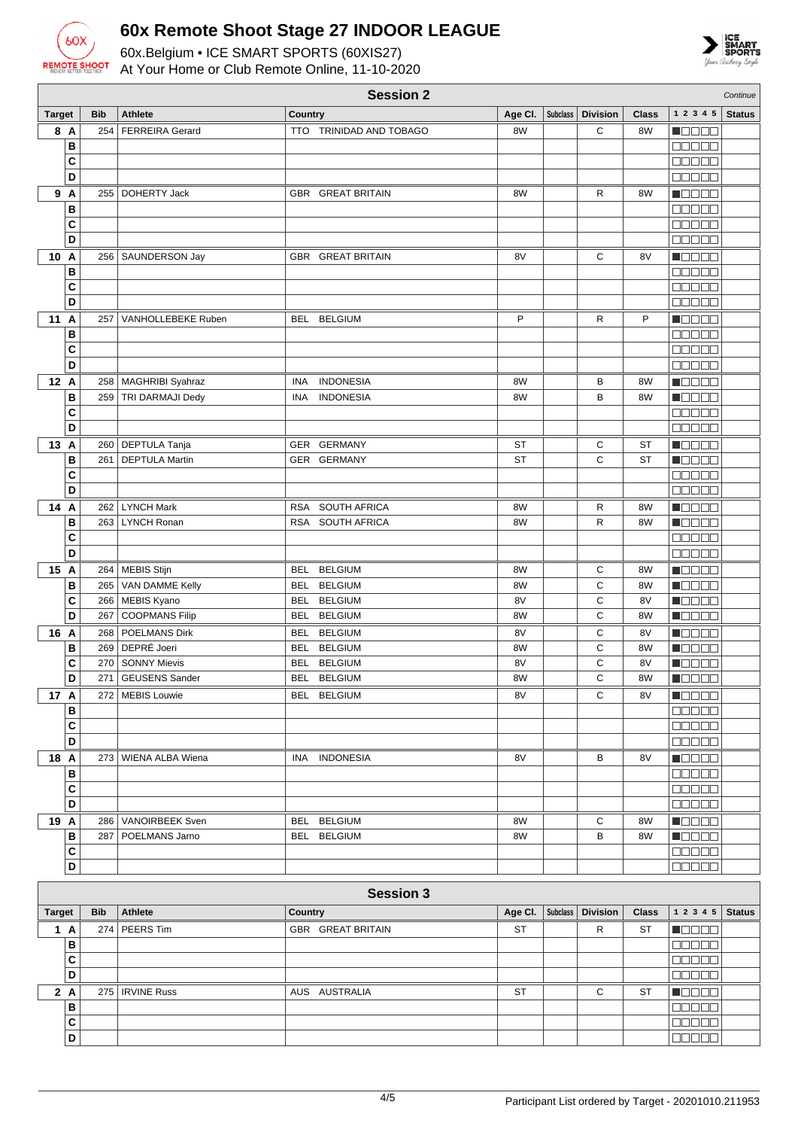

**B C D**

### **60x Remote Shoot Stage 27 INDOOR LEAGUE**

60x.Belgium • ICE SMART SPORTS (60XIS27) At Your Home or Club Remote Online, 11-10-2020



|               | <b>Session 2</b><br>Continue |            |                                            |                                |           |          |                 |              |                                                        |               |
|---------------|------------------------------|------------|--------------------------------------------|--------------------------------|-----------|----------|-----------------|--------------|--------------------------------------------------------|---------------|
| <b>Target</b> |                              | <b>Bib</b> | <b>Athlete</b>                             | Country                        | Age CI.   | Subclass | <b>Division</b> | <b>Class</b> | 1 2 3 4 5                                              | <b>Status</b> |
| 8 A           |                              | 254        | <b>FERREIRA Gerard</b>                     | TTO TRINIDAD AND TOBAGO        | 8W        |          | C               | 8W           | N OO OO                                                |               |
|               | в                            |            |                                            |                                |           |          |                 |              | a da da                                                |               |
|               | $\mathbf{C}$                 |            |                                            |                                |           |          |                 |              | manaa                                                  |               |
|               | D                            |            |                                            |                                |           |          |                 |              | $\Box$ $\Box$ $\Box$ $\Box$ $\Box$                     |               |
| 9 A           |                              | 255        | <b>DOHERTY Jack</b>                        | GBR GREAT BRITAIN              | 8W        |          | R               | 8W           | <b>Mana</b>                                            |               |
|               | B                            |            |                                            |                                |           |          |                 |              | <b>NODOD</b>                                           |               |
|               | C                            |            |                                            |                                |           |          |                 |              | <b>00000</b>                                           |               |
|               | D                            |            |                                            |                                |           |          |                 |              | Maaaa                                                  |               |
| 10 A          |                              |            | 256   SAUNDERSON Jay                       | <b>GBR GREAT BRITAIN</b>       | 8V        |          | C               | 8V           | Maaaa<br><b>DODOO</b>                                  |               |
|               | В<br>C                       |            |                                            |                                |           |          |                 |              | 88888                                                  |               |
|               | D                            |            |                                            |                                |           |          |                 |              | <b>00000</b>                                           |               |
| 11 A          |                              | 257        | VANHOLLEBEKE Ruben                         | BEL BELGIUM                    | P         |          | R               | P            | <b>MOOOO</b>                                           |               |
|               | в                            |            |                                            |                                |           |          |                 |              | <b>BBBBB</b>                                           |               |
|               | $\mathbf{C}$                 |            |                                            |                                |           |          |                 |              | 88888                                                  |               |
|               | D                            |            |                                            |                                |           |          |                 |              | 88888                                                  |               |
| 12 A          |                              |            | 258   MAGHRIBI Syahraz                     | <b>INDONESIA</b><br>INA        | 8W        |          | В               | 8W           | <b>MODOO</b>                                           |               |
|               | B                            | 259        | TRI DARMAJI Dedy                           | <b>INDONESIA</b><br><b>INA</b> | 8W        |          | B               | 8W           | Menee                                                  |               |
|               | $\mathbf{C}$                 |            |                                            |                                |           |          |                 |              | 00000                                                  |               |
|               | D                            |            |                                            |                                |           |          |                 |              | 88888                                                  |               |
| 13 A          |                              |            | 260   DEPTULA Tanja                        | GER GERMANY                    | ST        |          | С               | ST           | $\blacksquare$                                         |               |
|               | B                            | 261        | <b>DEPTULA Martin</b>                      | GER GERMANY                    | ST        |          | C               | <b>ST</b>    | n oo oo                                                |               |
|               | $\mathbf c$                  |            |                                            |                                |           |          |                 |              | 88888                                                  |               |
|               | D                            |            |                                            |                                |           |          |                 |              | 00000                                                  |               |
| 14 A          |                              |            | 262 LYNCH Mark                             | RSA SOUTH AFRICA               | 8W        |          | R               | 8W           | <b>Maaaa</b>                                           |               |
|               | B                            |            | 263   LYNCH Ronan                          | RSA SOUTH AFRICA               | 8W        |          | R               | 8W           | <b>Nacional</b>                                        |               |
|               | C<br>D                       |            |                                            |                                |           |          |                 |              | <b>00000</b><br>00000                                  |               |
|               |                              |            |                                            |                                |           |          |                 |              |                                                        |               |
| 15 A          | в                            |            | 264   MEBIS Stijn<br>265   VAN DAMME Kelly | BEL BELGIUM<br>BEL BELGIUM     | 8W<br>8W  |          | С<br>С          | 8W<br>8W     | Manaa<br><b>MODOO</b>                                  |               |
|               | C                            |            | 266   MEBIS Kyano                          | BEL BELGIUM                    | 8V        |          | C               | 8V           | <b>MODOO</b>                                           |               |
|               | D                            | 267        | <b>COOPMANS Filip</b>                      | BEL<br><b>BELGIUM</b>          | 8W        |          | C               | 8W           | $\blacksquare$ $\square$ $\square$ $\square$           |               |
| 16 A          |                              | 268        | POELMANS Dirk                              | BEL BELGIUM                    | 8V        |          | С               | 8V           | $\blacksquare$ $\square$ $\square$ $\square$           |               |
|               | в                            | 269        | DEPRÉ Joeri                                | BEL<br><b>BELGIUM</b>          | 8W        |          | С               | 8W           | Maaaa                                                  |               |
|               | C                            | 270        | <b>SONNY Mievis</b>                        | BEL BELGIUM                    | 8V        |          | C               | 8V           | MODO B                                                 |               |
|               | D                            | 271        | <b>GEUSENS Sander</b>                      | BEL BELGIUM                    | 8W        |          | C               | 8W           | $\blacksquare$ $\square$ $\square$ $\blacksquare$      |               |
| 17 A          |                              | 272        | <b>MEBIS Louwie</b>                        | BEL BELGIUM                    | 8V        |          | С               | 8V           | $\blacksquare$                                         |               |
|               | в                            |            |                                            |                                |           |          |                 |              | <b>00000</b>                                           |               |
|               | $\mathbf{C}$                 |            |                                            |                                |           |          |                 |              | 00000                                                  |               |
|               | D                            |            |                                            |                                |           |          |                 |              | <b>REBOL</b>                                           |               |
| 18 A          |                              |            | 273   WIENA ALBA Wiena                     | INA INDONESIA                  | 8V        |          | В               | 8V           | $\blacksquare$ $\square$ $\square$ $\square$           |               |
|               | в<br>$\mathbf{C}$            |            |                                            |                                |           |          |                 |              | <b>NODOD</b>                                           |               |
|               | D                            |            |                                            |                                |           |          |                 |              | <b>00000</b><br><b>00000</b>                           |               |
| 19 A          |                              |            | 286   VANOIRBEEK Sven                      | BEL BELGIUM                    | 8W        |          | С               | 8W           | Maaaa                                                  |               |
|               | B                            | 287        | POELMANS Jarno                             | BEL BELGIUM                    | 8W        |          | B               | 8W           | $\blacksquare$ $\blacksquare$ $\blacksquare$           |               |
|               | C                            |            |                                            |                                |           |          |                 |              | 00000                                                  |               |
|               | D                            |            |                                            |                                |           |          |                 |              | <b>00000</b>                                           |               |
|               |                              |            |                                            |                                |           |          |                 |              |                                                        |               |
|               |                              |            |                                            | <b>Session 3</b>               |           |          |                 |              |                                                        |               |
| <b>Target</b> |                              | <b>Bib</b> | <b>Athlete</b>                             | Country                        | Age Cl.   | Subclass | <b>Division</b> | <b>Class</b> | 1 2 3 4 5                                              | <b>Status</b> |
| 1A            |                              |            | 274 PEERS Tim                              | GBR GREAT BRITAIN              | ST        |          | R               | ST           | N DE SE                                                |               |
|               | B<br>$\mathbf{C}$            |            |                                            |                                |           |          |                 |              | 88888                                                  |               |
|               | D                            |            |                                            |                                |           |          |                 |              | ee e e e<br>88888                                      |               |
| 2A            |                              |            | 275   IRVINE Russ                          | AUS AUSTRALIA                  | <b>ST</b> |          | С               | ST           | $\blacksquare$ $\square$ $\blacksquare$ $\blacksquare$ |               |

**accoo** 00000 |aaaaa